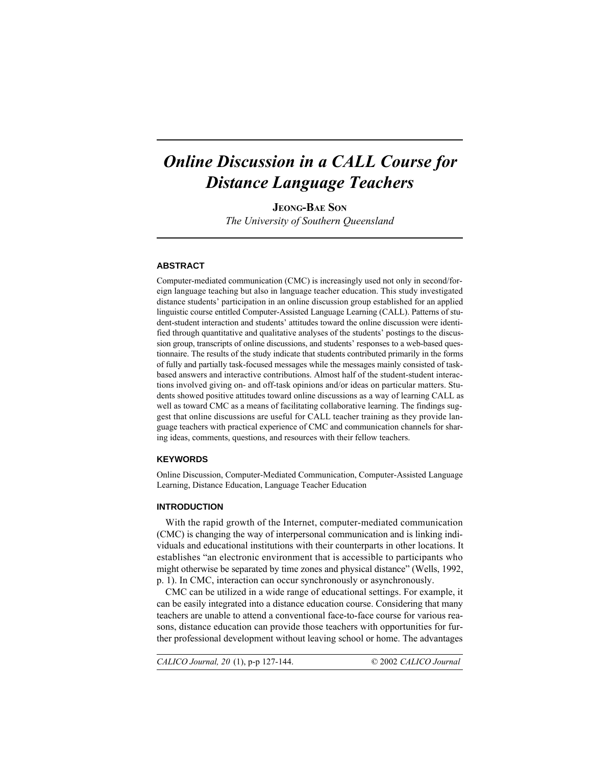# *Online Discussion in a CALL Course for Distance Language Teachers*

**JEONG-BAE SON**

*The University of Southern Queensland*

## **ABSTRACT**

Computer-mediated communication (CMC) is increasingly used not only in second/foreign language teaching but also in language teacher education. This study investigated distance students' participation in an online discussion group established for an applied linguistic course entitled Computer-Assisted Language Learning (CALL). Patterns of student-student interaction and students' attitudes toward the online discussion were identified through quantitative and qualitative analyses of the students' postings to the discussion group, transcripts of online discussions, and students' responses to a web-based questionnaire. The results of the study indicate that students contributed primarily in the forms of fully and partially task-focused messages while the messages mainly consisted of taskbased answers and interactive contributions. Almost half of the student-student interactions involved giving on- and off-task opinions and/or ideas on particular matters. Students showed positive attitudes toward online discussions as a way of learning CALL as well as toward CMC as a means of facilitating collaborative learning. The findings suggest that online discussions are useful for CALL teacher training as they provide language teachers with practical experience of CMC and communication channels for sharing ideas, comments, questions, and resources with their fellow teachers.

## **KEYWORDS**

Online Discussion, Computer-Mediated Communication, Computer-Assisted Language Learning, Distance Education, Language Teacher Education

#### **INTRODUCTION**

With the rapid growth of the Internet, computer-mediated communication (CMC) is changing the way of interpersonal communication and is linking individuals and educational institutions with their counterparts in other locations. It establishes "an electronic environment that is accessible to participants who might otherwise be separated by time zones and physical distance" (Wells, 1992, p. 1). In CMC, interaction can occur synchronously or asynchronously.

CMC can be utilized in a wide range of educational settings. For example, it can be easily integrated into a distance education course. Considering that many teachers are unable to attend a conventional face-to-face course for various reasons, distance education can provide those teachers with opportunities for further professional development without leaving school or home. The advantages

CALICO Journal, 20 (1), p-p 127-144. © 2002 *CALICO Journal*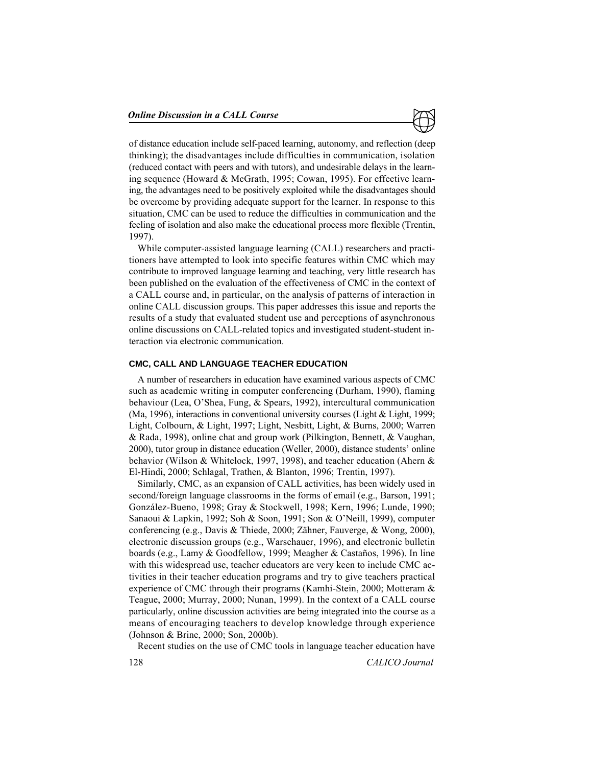

of distance education include self-paced learning, autonomy, and reflection (deep thinking); the disadvantages include difficulties in communication, isolation (reduced contact with peers and with tutors), and undesirable delays in the learning sequence (Howard & McGrath, 1995; Cowan, 1995). For effective learning, the advantages need to be positively exploited while the disadvantages should be overcome by providing adequate support for the learner. In response to this situation, CMC can be used to reduce the difficulties in communication and the feeling of isolation and also make the educational process more flexible (Trentin, 1997).

While computer-assisted language learning (CALL) researchers and practitioners have attempted to look into specific features within CMC which may contribute to improved language learning and teaching, very little research has been published on the evaluation of the effectiveness of CMC in the context of a CALL course and, in particular, on the analysis of patterns of interaction in online CALL discussion groups. This paper addresses this issue and reports the results of a study that evaluated student use and perceptions of asynchronous online discussions on CALL-related topics and investigated student-student interaction via electronic communication.

#### **CMC, CALL AND LANGUAGE TEACHER EDUCATION**

A number of researchers in education have examined various aspects of CMC such as academic writing in computer conferencing (Durham, 1990), flaming behaviour (Lea, O'Shea, Fung, & Spears, 1992), intercultural communication (Ma, 1996), interactions in conventional university courses (Light & Light, 1999; Light, Colbourn, & Light, 1997; Light, Nesbitt, Light, & Burns, 2000; Warren & Rada, 1998), online chat and group work (Pilkington, Bennett, & Vaughan, 2000), tutor group in distance education (Weller, 2000), distance students' online behavior (Wilson & Whitelock, 1997, 1998), and teacher education (Ahern & El-Hindi, 2000; Schlagal, Trathen, & Blanton, 1996; Trentin, 1997).

Similarly, CMC, as an expansion of CALL activities, has been widely used in second/foreign language classrooms in the forms of email (e.g., Barson, 1991; González-Bueno, 1998; Gray & Stockwell, 1998; Kern, 1996; Lunde, 1990; Sanaoui & Lapkin, 1992; Soh & Soon, 1991; Son & O'Neill, 1999), computer conferencing (e.g., Davis & Thiede, 2000; Zähner, Fauverge, & Wong, 2000), electronic discussion groups (e.g., Warschauer, 1996), and electronic bulletin boards (e.g., Lamy & Goodfellow, 1999; Meagher & Castaños, 1996). In line with this widespread use, teacher educators are very keen to include CMC activities in their teacher education programs and try to give teachers practical experience of CMC through their programs (Kamhi-Stein, 2000; Motteram & Teague, 2000; Murray, 2000; Nunan, 1999). In the context of a CALL course particularly, online discussion activities are being integrated into the course as a means of encouraging teachers to develop knowledge through experience (Johnson & Brine, 2000; Son, 2000b).

Recent studies on the use of CMC tools in language teacher education have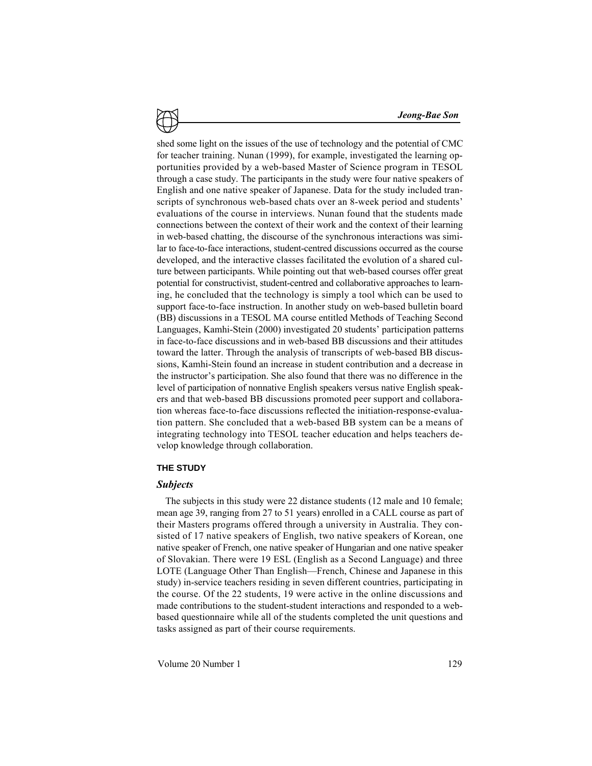shed some light on the issues of the use of technology and the potential of CMC for teacher training. Nunan (1999), for example, investigated the learning opportunities provided by a web-based Master of Science program in TESOL through a case study. The participants in the study were four native speakers of English and one native speaker of Japanese. Data for the study included transcripts of synchronous web-based chats over an 8-week period and students' evaluations of the course in interviews. Nunan found that the students made connections between the context of their work and the context of their learning in web-based chatting, the discourse of the synchronous interactions was similar to face-to-face interactions, student-centred discussions occurred as the course developed, and the interactive classes facilitated the evolution of a shared culture between participants. While pointing out that web-based courses offer great potential for constructivist, student-centred and collaborative approaches to learning, he concluded that the technology is simply a tool which can be used to support face-to-face instruction. In another study on web-based bulletin board (BB) discussions in a TESOL MA course entitled Methods of Teaching Second Languages, Kamhi-Stein (2000) investigated 20 students' participation patterns in face-to-face discussions and in web-based BB discussions and their attitudes toward the latter. Through the analysis of transcripts of web-based BB discussions, Kamhi-Stein found an increase in student contribution and a decrease in the instructor's participation. She also found that there was no difference in the level of participation of nonnative English speakers versus native English speakers and that web-based BB discussions promoted peer support and collaboration whereas face-to-face discussions reflected the initiation-response-evaluation pattern. She concluded that a web-based BB system can be a means of integrating technology into TESOL teacher education and helps teachers develop knowledge through collaboration.

## **THE STUDY**

### *Subjects*

The subjects in this study were 22 distance students (12 male and 10 female; mean age 39, ranging from 27 to 51 years) enrolled in a CALL course as part of their Masters programs offered through a university in Australia. They consisted of 17 native speakers of English, two native speakers of Korean, one native speaker of French, one native speaker of Hungarian and one native speaker of Slovakian. There were 19 ESL (English as a Second Language) and three LOTE (Language Other Than English—French, Chinese and Japanese in this study) in-service teachers residing in seven different countries, participating in the course. Of the 22 students, 19 were active in the online discussions and made contributions to the student-student interactions and responded to a webbased questionnaire while all of the students completed the unit questions and tasks assigned as part of their course requirements.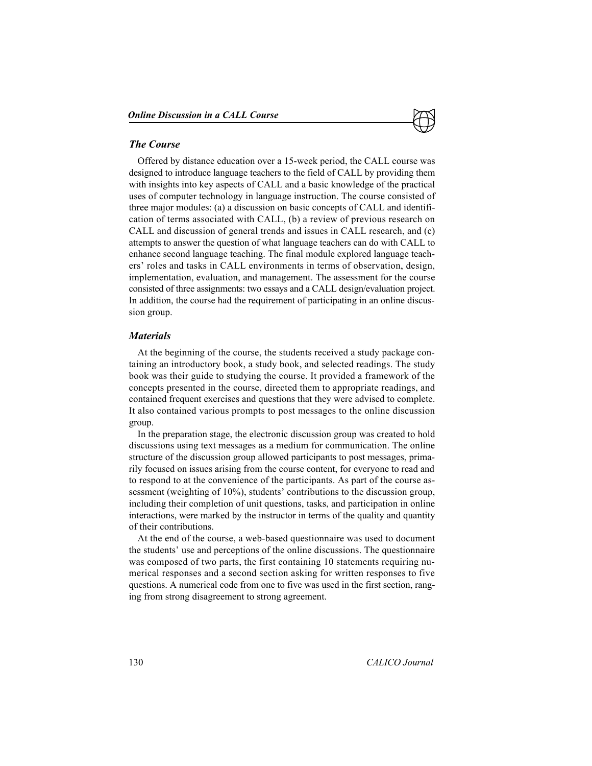### *The Course*

Offered by distance education over a 15-week period, the CALL course was designed to introduce language teachers to the field of CALL by providing them with insights into key aspects of CALL and a basic knowledge of the practical uses of computer technology in language instruction. The course consisted of three major modules: (a) a discussion on basic concepts of CALL and identification of terms associated with CALL, (b) a review of previous research on CALL and discussion of general trends and issues in CALL research, and (c) attempts to answer the question of what language teachers can do with CALL to enhance second language teaching. The final module explored language teachers' roles and tasks in CALL environments in terms of observation, design, implementation, evaluation, and management. The assessment for the course consisted of three assignments: two essays and a CALL design/evaluation project. In addition, the course had the requirement of participating in an online discussion group.

## *Materials*

At the beginning of the course, the students received a study package containing an introductory book, a study book, and selected readings. The study book was their guide to studying the course. It provided a framework of the concepts presented in the course, directed them to appropriate readings, and contained frequent exercises and questions that they were advised to complete. It also contained various prompts to post messages to the online discussion group.

In the preparation stage, the electronic discussion group was created to hold discussions using text messages as a medium for communication. The online structure of the discussion group allowed participants to post messages, primarily focused on issues arising from the course content, for everyone to read and to respond to at the convenience of the participants. As part of the course assessment (weighting of 10%), students' contributions to the discussion group, including their completion of unit questions, tasks, and participation in online interactions, were marked by the instructor in terms of the quality and quantity of their contributions.

At the end of the course, a web-based questionnaire was used to document the students' use and perceptions of the online discussions. The questionnaire was composed of two parts, the first containing 10 statements requiring numerical responses and a second section asking for written responses to five questions. A numerical code from one to five was used in the first section, ranging from strong disagreement to strong agreement.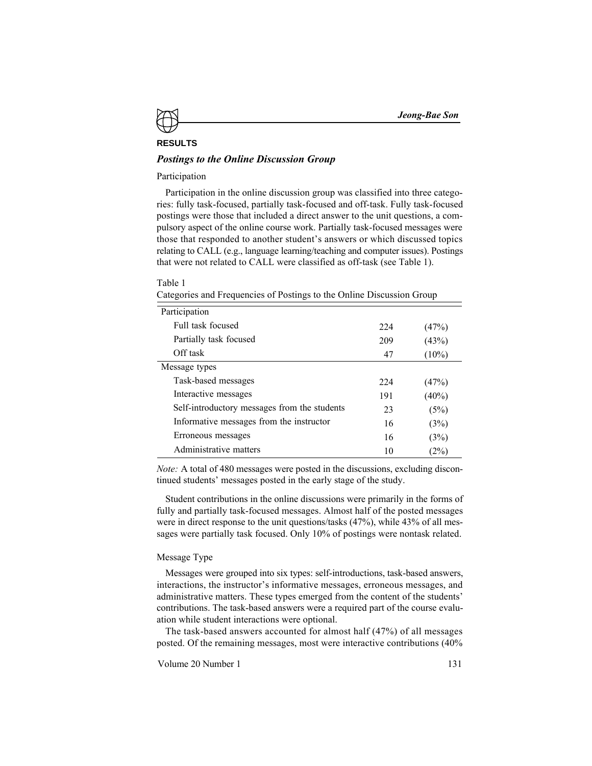#### **RESULTS**

## *Postings to the Online Discussion Group*

## Participation

Participation in the online discussion group was classified into three categories: fully task-focused, partially task-focused and off-task. Fully task-focused postings were those that included a direct answer to the unit questions, a compulsory aspect of the online course work. Partially task-focused messages were those that responded to another student's answers or which discussed topics relating to CALL (e.g., language learning/teaching and computer issues). Postings that were not related to CALL were classified as off-task (see Table 1).

#### Table 1

Categories and Frequencies of Postings to the Online Discussion Group

| Participation                                |     |          |
|----------------------------------------------|-----|----------|
| Full task focused                            | 224 | (47%)    |
| Partially task focused                       | 209 | (43%)    |
| Off task                                     | 47  | $(10\%)$ |
| Message types                                |     |          |
| Task-based messages                          | 224 | (47%)    |
| Interactive messages                         | 191 | (40%)    |
| Self-introductory messages from the students | 23  | (5%)     |
| Informative messages from the instructor     | 16  | (3%)     |
| Erroneous messages                           | 16  | (3%)     |
| Administrative matters                       | 10  | $(2\%)$  |

*Note:* A total of 480 messages were posted in the discussions, excluding discontinued students' messages posted in the early stage of the study.

Student contributions in the online discussions were primarily in the forms of fully and partially task-focused messages. Almost half of the posted messages were in direct response to the unit questions/tasks (47%), while 43% of all messages were partially task focused. Only 10% of postings were nontask related.

#### Message Type

Messages were grouped into six types: self-introductions, task-based answers, interactions, the instructor's informative messages, erroneous messages, and administrative matters. These types emerged from the content of the students' contributions. The task-based answers were a required part of the course evaluation while student interactions were optional.

The task-based answers accounted for almost half (47%) of all messages posted. Of the remaining messages, most were interactive contributions (40%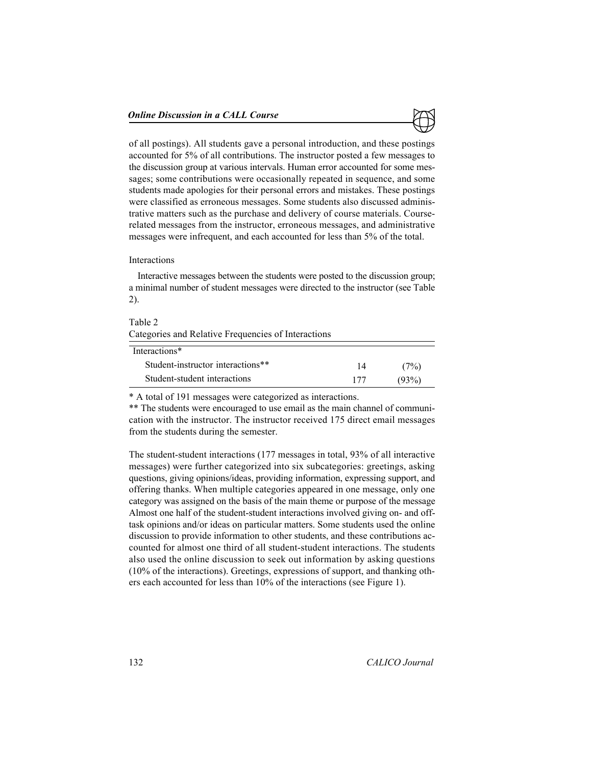

of all postings). All students gave a personal introduction, and these postings accounted for 5% of all contributions. The instructor posted a few messages to the discussion group at various intervals. Human error accounted for some messages; some contributions were occasionally repeated in sequence, and some students made apologies for their personal errors and mistakes. These postings were classified as erroneous messages. Some students also discussed administrative matters such as the purchase and delivery of course materials. Courserelated messages from the instructor, erroneous messages, and administrative messages were infrequent, and each accounted for less than 5% of the total.

#### Interactions

Interactive messages between the students were posted to the discussion group; a minimal number of student messages were directed to the instructor (see Table 2).

| Table 2<br>Categories and Relative Frequencies of Interactions |     |       |
|----------------------------------------------------------------|-----|-------|
| Interactions*                                                  |     |       |
| Student-instructor interactions**                              | 14  | (7%)  |
| Student-student interactions                                   | 177 | (93%) |

\* A total of 191 messages were categorized as interactions.

\*\* The students were encouraged to use email as the main channel of communication with the instructor. The instructor received 175 direct email messages from the students during the semester.

The student-student interactions (177 messages in total, 93% of all interactive messages) were further categorized into six subcategories: greetings, asking questions, giving opinions/ideas, providing information, expressing support, and offering thanks. When multiple categories appeared in one message, only one category was assigned on the basis of the main theme or purpose of the message Almost one half of the student-student interactions involved giving on- and offtask opinions and/or ideas on particular matters. Some students used the online discussion to provide information to other students, and these contributions accounted for almost one third of all student-student interactions. The students also used the online discussion to seek out information by asking questions (10% of the interactions). Greetings, expressions of support, and thanking others each accounted for less than 10% of the interactions (see Figure 1).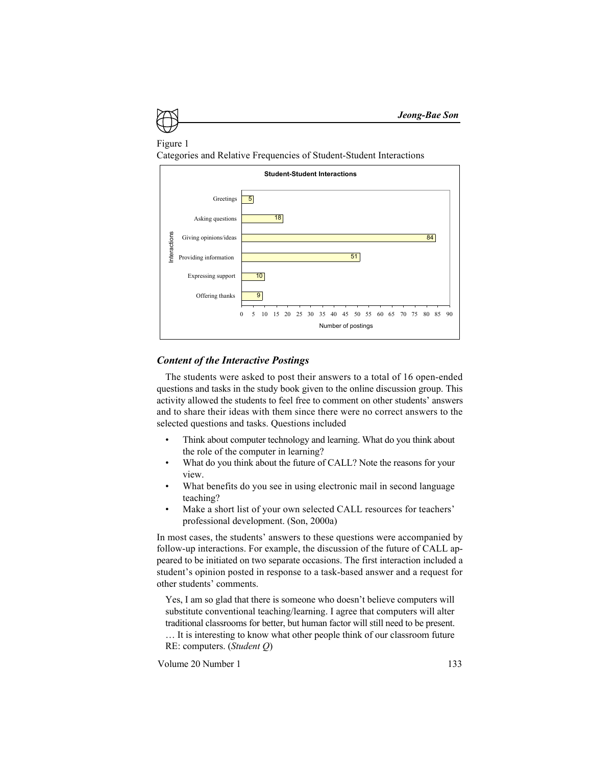

Categories and Relative Frequencies of Student-Student Interactions



### *Content of the Interactive Postings*

The students were asked to post their answers to a total of 16 open-ended questions and tasks in the study book given to the online discussion group. This activity allowed the students to feel free to comment on other students' answers and to share their ideas with them since there were no correct answers to the selected questions and tasks. Questions included

- Think about computer technology and learning. What do you think about the role of the computer in learning?
- What do you think about the future of CALL? Note the reasons for your view.
- What benefits do you see in using electronic mail in second language teaching?
- Make a short list of your own selected CALL resources for teachers' professional development. (Son, 2000a)

In most cases, the students' answers to these questions were accompanied by follow-up interactions. For example, the discussion of the future of CALL appeared to be initiated on two separate occasions. The first interaction included a student's opinion posted in response to a task-based answer and a request for other students' comments.

Yes, I am so glad that there is someone who doesn't believe computers will substitute conventional teaching/learning. I agree that computers will alter traditional classrooms for better, but human factor will still need to be present. … It is interesting to know what other people think of our classroom future

RE: computers. (*Student Q*)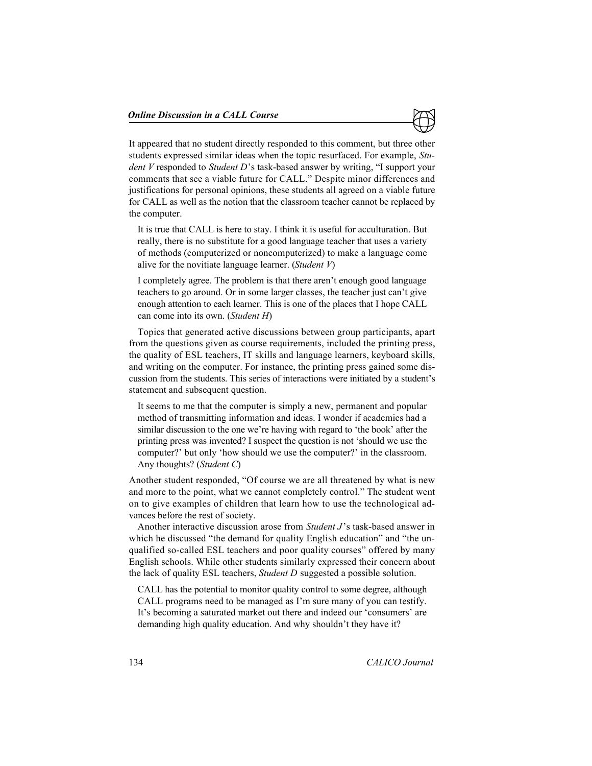

It appeared that no student directly responded to this comment, but three other students expressed similar ideas when the topic resurfaced. For example, *Student V* responded to *Student D*'s task-based answer by writing, "I support your comments that see a viable future for CALL." Despite minor differences and justifications for personal opinions, these students all agreed on a viable future for CALL as well as the notion that the classroom teacher cannot be replaced by the computer.

It is true that CALL is here to stay. I think it is useful for acculturation. But really, there is no substitute for a good language teacher that uses a variety of methods (computerized or noncomputerized) to make a language come alive for the novitiate language learner. (*Student V*)

I completely agree. The problem is that there aren't enough good language teachers to go around. Or in some larger classes, the teacher just can't give enough attention to each learner. This is one of the places that I hope CALL can come into its own. (*Student H*)

Topics that generated active discussions between group participants, apart from the questions given as course requirements, included the printing press, the quality of ESL teachers, IT skills and language learners, keyboard skills, and writing on the computer. For instance, the printing press gained some discussion from the students. This series of interactions were initiated by a student's statement and subsequent question.

It seems to me that the computer is simply a new, permanent and popular method of transmitting information and ideas. I wonder if academics had a similar discussion to the one we're having with regard to 'the book' after the printing press was invented? I suspect the question is not 'should we use the computer?' but only 'how should we use the computer?' in the classroom. Any thoughts? (*Student C*)

Another student responded, "Of course we are all threatened by what is new and more to the point, what we cannot completely control." The student went on to give examples of children that learn how to use the technological advances before the rest of society.

Another interactive discussion arose from *Student J*'s task-based answer in which he discussed "the demand for quality English education" and "the unqualified so-called ESL teachers and poor quality courses" offered by many English schools. While other students similarly expressed their concern about the lack of quality ESL teachers, *Student D* suggested a possible solution.

CALL has the potential to monitor quality control to some degree, although CALL programs need to be managed as I'm sure many of you can testify. It's becoming a saturated market out there and indeed our 'consumers' are demanding high quality education. And why shouldn't they have it?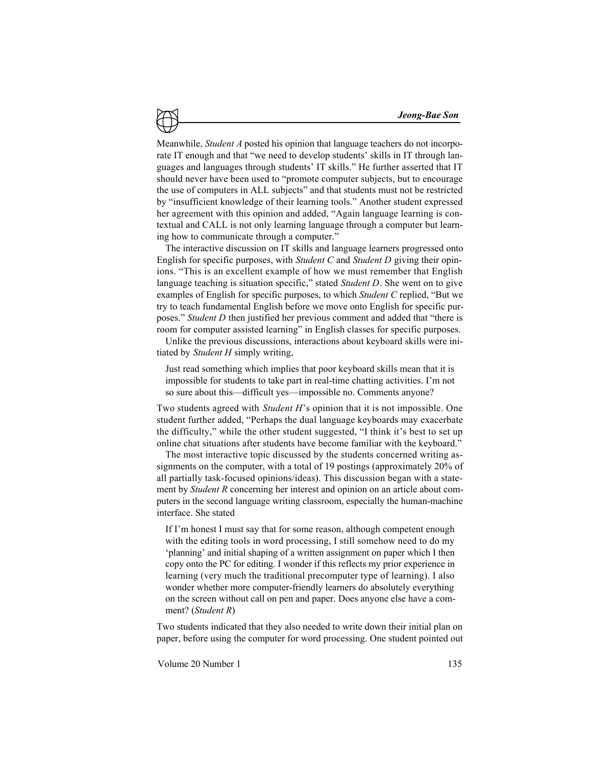Meanwhile, *Student A* posted his opinion that language teachers do not incorporate IT enough and that "we need to develop students' skills in IT through languages and languages through students' IT skills." He further asserted that IT should never have been used to "promote computer subjects, but to encourage the use of computers in ALL subjects" and that students must not be restricted by "insufficient knowledge of their learning tools." Another student expressed her agreement with this opinion and added, "Again language learning is contextual and CALL is not only learning language through a computer but learning how to communicate through a computer."

The interactive discussion on IT skills and language learners progressed onto English for specific purposes, with *Student C* and *Student D* giving their opinions. "This is an excellent example of how we must remember that English language teaching is situation specific," stated *Student D*. She went on to give examples of English for specific purposes, to which *Student C* replied, "But we try to teach fundamental English before we move onto English for specific purposes." *Student D* then justified her previous comment and added that "there is room for computer assisted learning" in English classes for specific purposes.

Unlike the previous discussions, interactions about keyboard skills were initiated by *Student H* simply writing,

Just read something which implies that poor keyboard skills mean that it is impossible for students to take part in real-time chatting activities. I'm not so sure about this—difficult yes—impossible no. Comments anyone?

Two students agreed with *Student H*'s opinion that it is not impossible. One student further added, "Perhaps the dual language keyboards may exacerbate the difficulty," while the other student suggested, "I think it's best to set up online chat situations after students have become familiar with the keyboard."

The most interactive topic discussed by the students concerned writing assignments on the computer, with a total of 19 postings (approximately 20% of all partially task-focused opinions/ideas). This discussion began with a statement by *Student R* concerning her interest and opinion on an article about computers in the second language writing classroom, especially the human-machine interface. She stated

If I'm honest I must say that for some reason, although competent enough with the editing tools in word processing, I still somehow need to do my 'planning' and initial shaping of a written assignment on paper which I then copy onto the PC for editing. I wonder if this reflects my prior experience in learning (very much the traditional precomputer type of learning). I also wonder whether more computer-friendly learners do absolutely everything on the screen without call on pen and paper. Does anyone else have a comment? (*Student R*)

Two students indicated that they also needed to write down their initial plan on paper, before using the computer for word processing. One student pointed out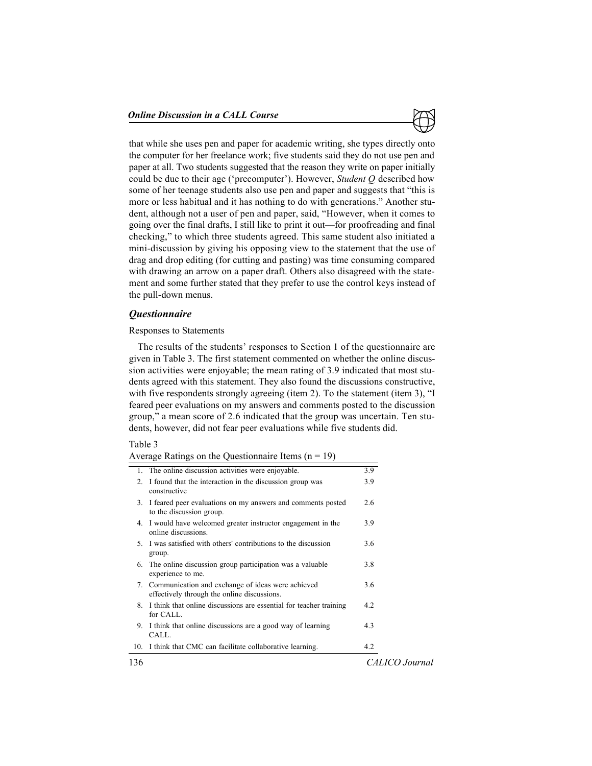

that while she uses pen and paper for academic writing, she types directly onto the computer for her freelance work; five students said they do not use pen and paper at all. Two students suggested that the reason they write on paper initially could be due to their age ('precomputer'). However, *Student Q* described how some of her teenage students also use pen and paper and suggests that "this is more or less habitual and it has nothing to do with generations." Another student, although not a user of pen and paper, said, "However, when it comes to going over the final drafts, I still like to print it out—for proofreading and final checking," to which three students agreed. This same student also initiated a mini-discussion by giving his opposing view to the statement that the use of drag and drop editing (for cutting and pasting) was time consuming compared with drawing an arrow on a paper draft. Others also disagreed with the statement and some further stated that they prefer to use the control keys instead of the pull-down menus.

## *Questionnaire*

#### Responses to Statements

The results of the students' responses to Section 1 of the questionnaire are given in Table 3. The first statement commented on whether the online discussion activities were enjoyable; the mean rating of 3.9 indicated that most students agreed with this statement. They also found the discussions constructive, with five respondents strongly agreeing (item 2). To the statement (item 3), "I feared peer evaluations on my answers and comments posted to the discussion group," a mean score of 2.6 indicated that the group was uncertain. Ten students, however, did not fear peer evaluations while five students did.

#### Table 3

| Average Ratings on the Questionnaire Items $(n = 19)$ |  |  |
|-------------------------------------------------------|--|--|
|-------------------------------------------------------|--|--|

| 136     |                                                                                                     | CALICO Journal |
|---------|-----------------------------------------------------------------------------------------------------|----------------|
| 10.     | I think that CMC can facilitate collaborative learning.                                             | 4.2            |
|         | 9. I think that online discussions are a good way of learning<br>CALL.                              | 4.3            |
|         | 8. I think that online discussions are essential for teacher training<br>for CALL.                  | 4.2            |
|         | 7. Communication and exchange of ideas were achieved<br>effectively through the online discussions. | 3.6            |
| 6.      | The online discussion group participation was a valuable<br>experience to me.                       | 3.8            |
|         | 5. I was satisfied with others' contributions to the discussion<br>group.                           | 3.6            |
|         | 4. I would have welcomed greater instructor engagement in the<br>online discussions.                | 3.9            |
|         | 3. I feared peer evaluations on my answers and comments posted<br>to the discussion group.          | 2.6            |
| $2_{-}$ | I found that the interaction in the discussion group was<br>constructive                            | 3.9            |
|         | 1. The online discussion activities were enjoyable.                                                 | 3.9            |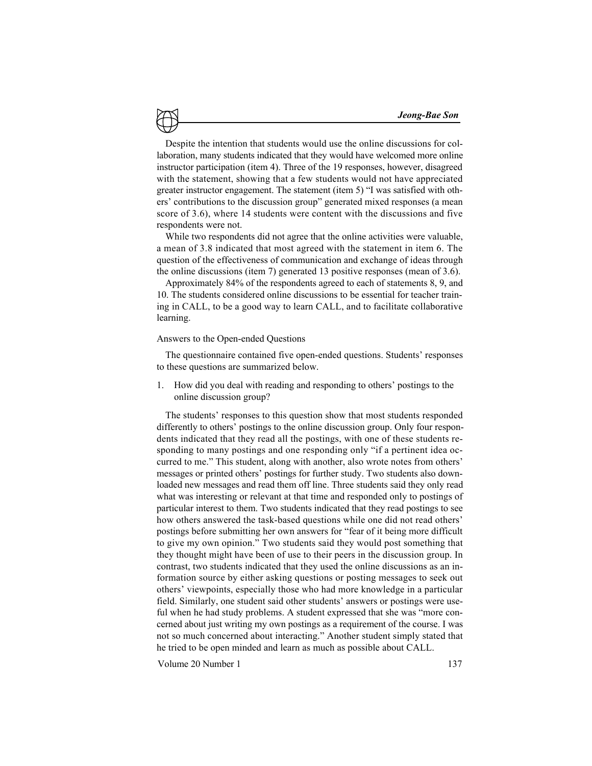Despite the intention that students would use the online discussions for collaboration, many students indicated that they would have welcomed more online instructor participation (item 4). Three of the 19 responses, however, disagreed with the statement, showing that a few students would not have appreciated greater instructor engagement. The statement (item 5) "I was satisfied with others' contributions to the discussion group" generated mixed responses (a mean score of 3.6), where 14 students were content with the discussions and five respondents were not.

While two respondents did not agree that the online activities were valuable, a mean of 3.8 indicated that most agreed with the statement in item 6. The question of the effectiveness of communication and exchange of ideas through the online discussions (item 7) generated 13 positive responses (mean of 3.6).

Approximately 84% of the respondents agreed to each of statements 8, 9, and 10. The students considered online discussions to be essential for teacher training in CALL, to be a good way to learn CALL, and to facilitate collaborative learning.

#### Answers to the Open-ended Questions

The questionnaire contained five open-ended questions. Students' responses to these questions are summarized below.

1. How did you deal with reading and responding to others' postings to the online discussion group?

The students' responses to this question show that most students responded differently to others' postings to the online discussion group. Only four respondents indicated that they read all the postings, with one of these students responding to many postings and one responding only "if a pertinent idea occurred to me." This student, along with another, also wrote notes from others' messages or printed others' postings for further study. Two students also downloaded new messages and read them off line. Three students said they only read what was interesting or relevant at that time and responded only to postings of particular interest to them. Two students indicated that they read postings to see how others answered the task-based questions while one did not read others' postings before submitting her own answers for "fear of it being more difficult to give my own opinion." Two students said they would post something that they thought might have been of use to their peers in the discussion group. In contrast, two students indicated that they used the online discussions as an information source by either asking questions or posting messages to seek out others' viewpoints, especially those who had more knowledge in a particular field. Similarly, one student said other students' answers or postings were useful when he had study problems. A student expressed that she was "more concerned about just writing my own postings as a requirement of the course. I was not so much concerned about interacting." Another student simply stated that he tried to be open minded and learn as much as possible about CALL.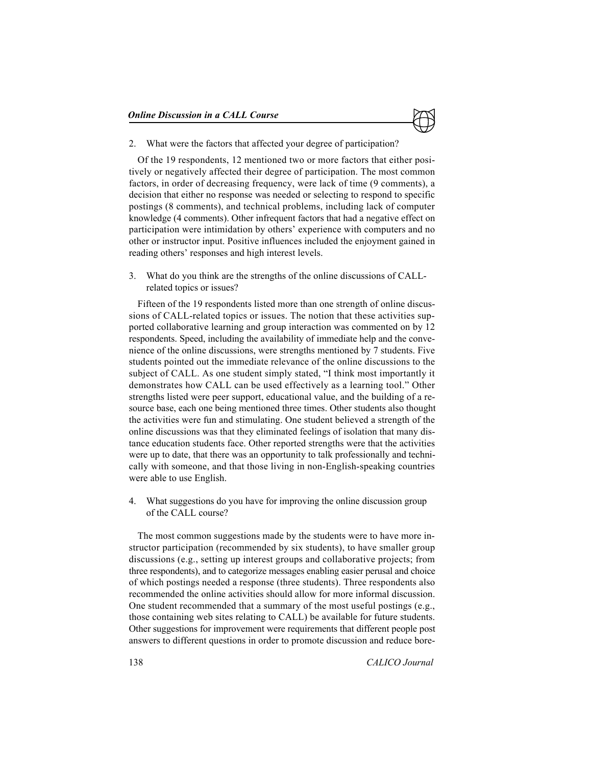2. What were the factors that affected your degree of participation?

Of the 19 respondents, 12 mentioned two or more factors that either positively or negatively affected their degree of participation. The most common factors, in order of decreasing frequency, were lack of time (9 comments), a decision that either no response was needed or selecting to respond to specific postings (8 comments), and technical problems, including lack of computer knowledge (4 comments). Other infrequent factors that had a negative effect on participation were intimidation by others' experience with computers and no other or instructor input. Positive influences included the enjoyment gained in reading others' responses and high interest levels.

3. What do you think are the strengths of the online discussions of CALLrelated topics or issues?

Fifteen of the 19 respondents listed more than one strength of online discussions of CALL-related topics or issues. The notion that these activities supported collaborative learning and group interaction was commented on by 12 respondents. Speed, including the availability of immediate help and the convenience of the online discussions, were strengths mentioned by 7 students. Five students pointed out the immediate relevance of the online discussions to the subject of CALL. As one student simply stated, "I think most importantly it demonstrates how CALL can be used effectively as a learning tool." Other strengths listed were peer support, educational value, and the building of a resource base, each one being mentioned three times. Other students also thought the activities were fun and stimulating. One student believed a strength of the online discussions was that they eliminated feelings of isolation that many distance education students face. Other reported strengths were that the activities were up to date, that there was an opportunity to talk professionally and technically with someone, and that those living in non-English-speaking countries were able to use English.

4. What suggestions do you have for improving the online discussion group of the CALL course?

The most common suggestions made by the students were to have more instructor participation (recommended by six students), to have smaller group discussions (e.g., setting up interest groups and collaborative projects; from three respondents), and to categorize messages enabling easier perusal and choice of which postings needed a response (three students). Three respondents also recommended the online activities should allow for more informal discussion. One student recommended that a summary of the most useful postings (e.g., those containing web sites relating to CALL) be available for future students. Other suggestions for improvement were requirements that different people post answers to different questions in order to promote discussion and reduce bore-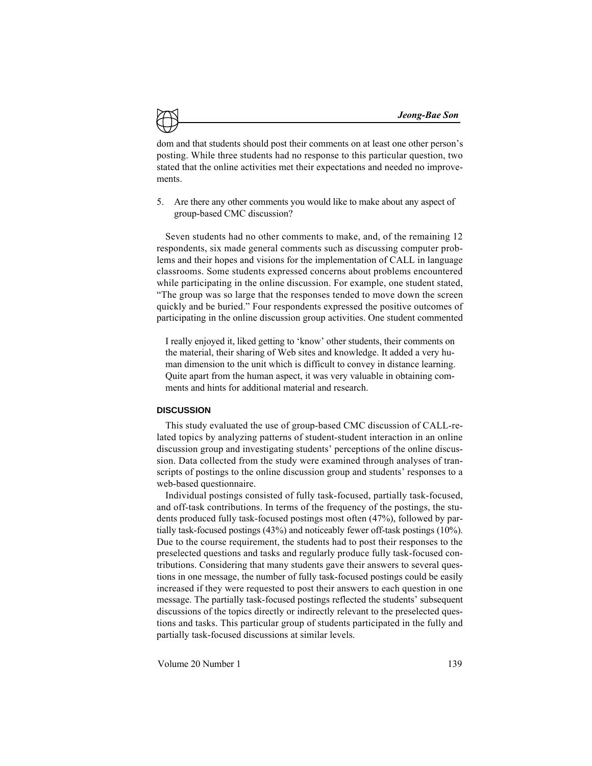dom and that students should post their comments on at least one other person's posting. While three students had no response to this particular question, two stated that the online activities met their expectations and needed no improvements.

5. Are there any other comments you would like to make about any aspect of group-based CMC discussion?

Seven students had no other comments to make, and, of the remaining 12 respondents, six made general comments such as discussing computer problems and their hopes and visions for the implementation of CALL in language classrooms. Some students expressed concerns about problems encountered while participating in the online discussion. For example, one student stated, "The group was so large that the responses tended to move down the screen quickly and be buried." Four respondents expressed the positive outcomes of participating in the online discussion group activities. One student commented

I really enjoyed it, liked getting to 'know' other students, their comments on the material, their sharing of Web sites and knowledge. It added a very human dimension to the unit which is difficult to convey in distance learning. Quite apart from the human aspect, it was very valuable in obtaining comments and hints for additional material and research.

#### **DISCUSSION**

This study evaluated the use of group-based CMC discussion of CALL-related topics by analyzing patterns of student-student interaction in an online discussion group and investigating students' perceptions of the online discussion. Data collected from the study were examined through analyses of transcripts of postings to the online discussion group and students' responses to a web-based questionnaire.

Individual postings consisted of fully task-focused, partially task-focused, and off-task contributions. In terms of the frequency of the postings, the students produced fully task-focused postings most often (47%), followed by partially task-focused postings (43%) and noticeably fewer off-task postings (10%). Due to the course requirement, the students had to post their responses to the preselected questions and tasks and regularly produce fully task-focused contributions. Considering that many students gave their answers to several questions in one message, the number of fully task-focused postings could be easily increased if they were requested to post their answers to each question in one message. The partially task-focused postings reflected the students' subsequent discussions of the topics directly or indirectly relevant to the preselected questions and tasks. This particular group of students participated in the fully and partially task-focused discussions at similar levels.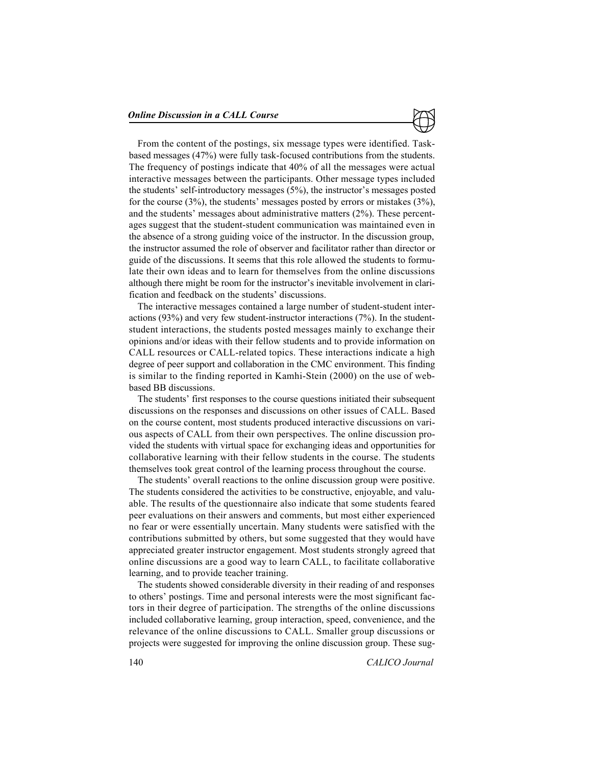

From the content of the postings, six message types were identified. Taskbased messages (47%) were fully task-focused contributions from the students. The frequency of postings indicate that 40% of all the messages were actual interactive messages between the participants. Other message types included the students' self-introductory messages (5%), the instructor's messages posted for the course (3%), the students' messages posted by errors or mistakes (3%), and the students' messages about administrative matters (2%). These percentages suggest that the student-student communication was maintained even in the absence of a strong guiding voice of the instructor. In the discussion group, the instructor assumed the role of observer and facilitator rather than director or guide of the discussions. It seems that this role allowed the students to formulate their own ideas and to learn for themselves from the online discussions although there might be room for the instructor's inevitable involvement in clarification and feedback on the students' discussions.

The interactive messages contained a large number of student-student interactions (93%) and very few student-instructor interactions (7%). In the studentstudent interactions, the students posted messages mainly to exchange their opinions and/or ideas with their fellow students and to provide information on CALL resources or CALL-related topics. These interactions indicate a high degree of peer support and collaboration in the CMC environment. This finding is similar to the finding reported in Kamhi-Stein (2000) on the use of webbased BB discussions.

The students' first responses to the course questions initiated their subsequent discussions on the responses and discussions on other issues of CALL. Based on the course content, most students produced interactive discussions on various aspects of CALL from their own perspectives. The online discussion provided the students with virtual space for exchanging ideas and opportunities for collaborative learning with their fellow students in the course. The students themselves took great control of the learning process throughout the course.

The students' overall reactions to the online discussion group were positive. The students considered the activities to be constructive, enjoyable, and valuable. The results of the questionnaire also indicate that some students feared peer evaluations on their answers and comments, but most either experienced no fear or were essentially uncertain. Many students were satisfied with the contributions submitted by others, but some suggested that they would have appreciated greater instructor engagement. Most students strongly agreed that online discussions are a good way to learn CALL, to facilitate collaborative learning, and to provide teacher training.

The students showed considerable diversity in their reading of and responses to others' postings. Time and personal interests were the most significant factors in their degree of participation. The strengths of the online discussions included collaborative learning, group interaction, speed, convenience, and the relevance of the online discussions to CALL. Smaller group discussions or projects were suggested for improving the online discussion group. These sug-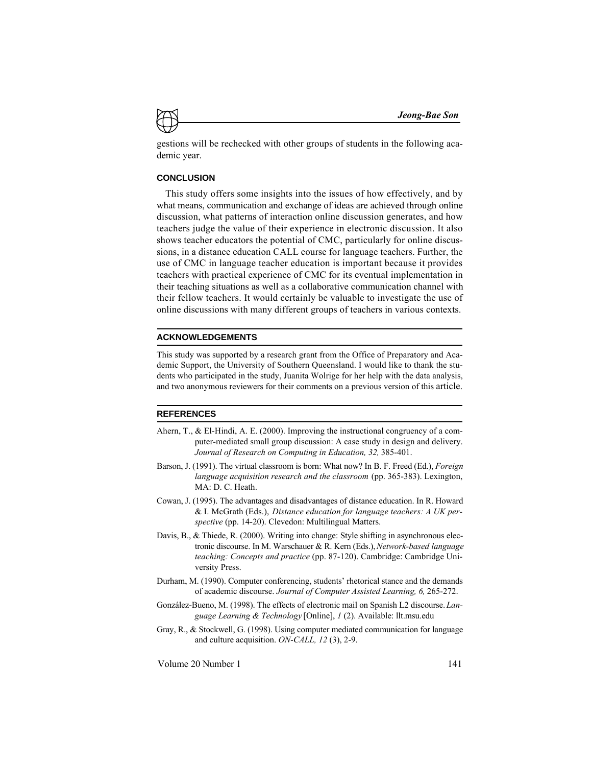gestions will be rechecked with other groups of students in the following academic year.

#### **CONCLUSION**

This study offers some insights into the issues of how effectively, and by what means, communication and exchange of ideas are achieved through online discussion, what patterns of interaction online discussion generates, and how teachers judge the value of their experience in electronic discussion. It also shows teacher educators the potential of CMC, particularly for online discussions, in a distance education CALL course for language teachers. Further, the use of CMC in language teacher education is important because it provides teachers with practical experience of CMC for its eventual implementation in their teaching situations as well as a collaborative communication channel with their fellow teachers. It would certainly be valuable to investigate the use of online discussions with many different groups of teachers in various contexts.

#### **ACKNOWLEDGEMENTS**

This study was supported by a research grant from the Office of Preparatory and Academic Support, the University of Southern Queensland. I would like to thank the students who participated in the study, Juanita Wolrige for her help with the data analysis, and two anonymous reviewers for their comments on a previous version of this article.

#### **REFERENCES**

- Ahern, T., & El-Hindi, A. E. (2000). Improving the instructional congruency of a computer-mediated small group discussion: A case study in design and delivery. *Journal of Research on Computing in Education, 32,* 385-401.
- Barson, J. (1991). The virtual classroom is born: What now? In B. F. Freed (Ed.), *Foreign language acquisition research and the classroom* (pp. 365-383). Lexington, MA: D. C. Heath.
- Cowan, J. (1995). The advantages and disadvantages of distance education. In R. Howard & I. McGrath (Eds.), *Distance education for language teachers: A UK perspective* (pp. 14-20). Clevedon: Multilingual Matters.
- Davis, B., & Thiede, R. (2000). Writing into change: Style shifting in asynchronous electronic discourse. In M. Warschauer & R. Kern (Eds.), *Network-based language teaching: Concepts and practice* (pp. 87-120). Cambridge: Cambridge University Press.
- Durham, M. (1990). Computer conferencing, students' rhetorical stance and the demands of academic discourse. *Journal of Computer Assisted Learning, 6,* 265-272.
- González-Bueno, M. (1998). The effects of electronic mail on Spanish L2 discourse. *Language Learning & Technology* [Online], *1* (2). Available: llt.msu.edu
- Gray, R., & Stockwell, G. (1998). Using computer mediated communication for language and culture acquisition. *ON-CALL, 12* (3), 2-9.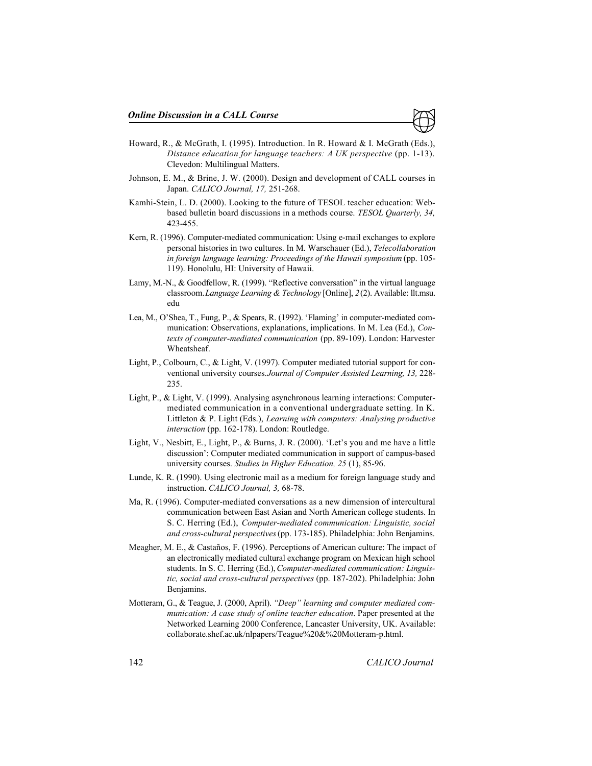- Howard, R., & McGrath, I. (1995). Introduction. In R. Howard & I. McGrath (Eds.), *Distance education for language teachers: A UK perspective* (pp. 1-13). Clevedon: Multilingual Matters.
- Johnson, E. M., & Brine, J. W. (2000). Design and development of CALL courses in Japan. *CALICO Journal, 17,* 251-268.
- Kamhi-Stein, L. D. (2000). Looking to the future of TESOL teacher education: Webbased bulletin board discussions in a methods course. *TESOL Quarterly, 34,* 423-455.
- Kern, R. (1996). Computer-mediated communication: Using e-mail exchanges to explore personal histories in two cultures. In M. Warschauer (Ed.), *Telecollaboration in foreign language learning: Proceedings of the Hawaii symposium* (pp. 105- 119). Honolulu, HI: University of Hawaii.
- Lamy, M.-N., & Goodfellow, R. (1999). "Reflective conversation" in the virtual language classroom. *Language Learning & Technology* [Online], *2* (2). Available: llt.msu. edu
- Lea, M., O'Shea, T., Fung, P., & Spears, R. (1992). 'Flaming' in computer-mediated communication: Observations, explanations, implications. In M. Lea (Ed.), *Contexts of computer-mediated communication* (pp. 89-109). London: Harvester Wheatsheaf.
- Light, P., Colbourn, C., & Light, V. (1997). Computer mediated tutorial support for conventional university courses. *Journal of Computer Assisted Learning, 13,* 228- 235.
- Light, P., & Light, V. (1999). Analysing asynchronous learning interactions: Computermediated communication in a conventional undergraduate setting. In K. Littleton & P. Light (Eds.), *Learning with computers: Analysing productive interaction* (pp. 162-178). London: Routledge.
- Light, V., Nesbitt, E., Light, P., & Burns, J. R. (2000). 'Let's you and me have a little discussion': Computer mediated communication in support of campus-based university courses. *Studies in Higher Education, 25* (1), 85-96.
- Lunde, K. R. (1990). Using electronic mail as a medium for foreign language study and instruction. *CALICO Journal, 3,* 68-78.
- Ma, R. (1996). Computer-mediated conversations as a new dimension of intercultural communication between East Asian and North American college students. In S. C. Herring (Ed.), *Computer-mediated communication: Linguistic, social and cross-cultural perspectives* (pp. 173-185). Philadelphia: John Benjamins.
- Meagher, M. E., & Castaños, F. (1996). Perceptions of American culture: The impact of an electronically mediated cultural exchange program on Mexican high school students. In S. C. Herring (Ed.), *Computer-mediated communication: Linguistic, social and cross-cultural perspectives* (pp. 187-202). Philadelphia: John Benjamins.
- Motteram, G., & Teague, J. (2000, April). *"Deep" learning and computer mediated communication: A case study of online teacher education*. Paper presented at the Networked Learning 2000 Conference, Lancaster University, UK. Available: collaborate.shef.ac.uk/nlpapers/Teague%20&%20Motteram-p.html.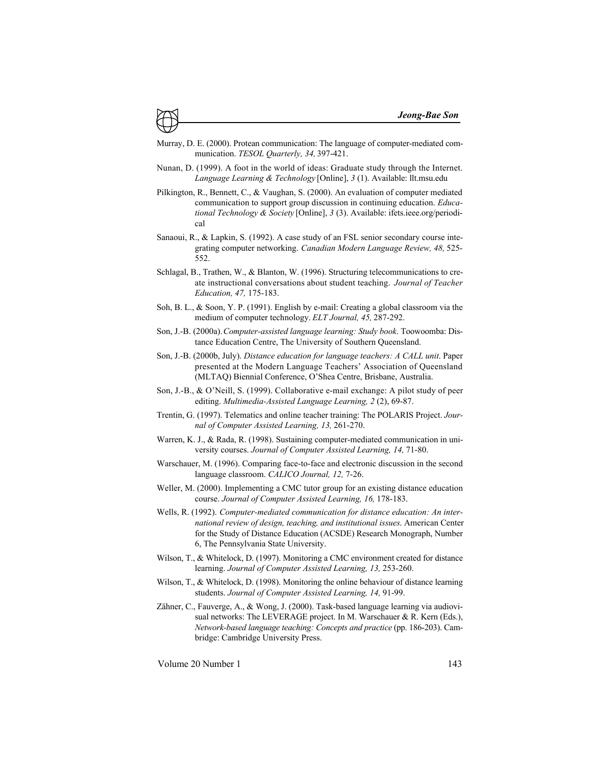- Murray, D. E. (2000). Protean communication: The language of computer-mediated communication. *TESOL Quarterly, 34,* 397-421.
- Nunan, D. (1999). A foot in the world of ideas: Graduate study through the Internet. *Language Learning & Technology* [Online], *3* (1). Available: llt.msu.edu
- Pilkington, R., Bennett, C., & Vaughan, S. (2000). An evaluation of computer mediated communication to support group discussion in continuing education. *Educational Technology & Society* [Online], *3* (3). Available: ifets.ieee.org/periodical
- Sanaoui, R., & Lapkin, S. (1992). A case study of an FSL senior secondary course integrating computer networking. *Canadian Modern Language Review, 48,* 525- 552.
- Schlagal, B., Trathen, W., & Blanton, W. (1996). Structuring telecommunications to create instructional conversations about student teaching. *Journal of Teacher Education, 47,* 175-183.
- Soh, B. L., & Soon, Y. P. (1991). English by e-mail: Creating a global classroom via the medium of computer technology. *ELT Journal, 45,* 287-292.
- Son, J.-B. (2000a). *Computer-assisted language learning: Study book*. Toowoomba: Distance Education Centre, The University of Southern Queensland.
- Son, J.-B. (2000b, July). *Distance education for language teachers: A CALL unit*. Paper presented at the Modern Language Teachers' Association of Queensland (MLTAQ) Biennial Conference, O'Shea Centre, Brisbane, Australia.
- Son, J.-B., & O'Neill, S. (1999). Collaborative e-mail exchange: A pilot study of peer editing. *Multimedia-Assisted Language Learning, 2* (2), 69-87.
- Trentin, G. (1997). Telematics and online teacher training: The POLARIS Project. *Journal of Computer Assisted Learning, 13,* 261-270.
- Warren, K. J., & Rada, R. (1998). Sustaining computer-mediated communication in university courses. *Journal of Computer Assisted Learning, 14,* 71-80.
- Warschauer, M. (1996). Comparing face-to-face and electronic discussion in the second language classroom. *CALICO Journal, 12,* 7-26.
- Weller, M. (2000). Implementing a CMC tutor group for an existing distance education course. *Journal of Computer Assisted Learning, 16,* 178-183.
- Wells, R. (1992). *Computer-mediated communication for distance education: An international review of design, teaching, and institutional issues*. American Center for the Study of Distance Education (ACSDE) Research Monograph, Number 6, The Pennsylvania State University.
- Wilson, T., & Whitelock, D. (1997). Monitoring a CMC environment created for distance learning. *Journal of Computer Assisted Learning, 13,* 253-260.
- Wilson, T., & Whitelock, D. (1998). Monitoring the online behaviour of distance learning students. *Journal of Computer Assisted Learning, 14,* 91-99.
- Zähner, C., Fauverge, A., & Wong, J. (2000). Task-based language learning via audiovisual networks: The LEVERAGE project. In M. Warschauer & R. Kern (Eds.), *Network-based language teaching: Concepts and practice* (pp. 186-203). Cambridge: Cambridge University Press.